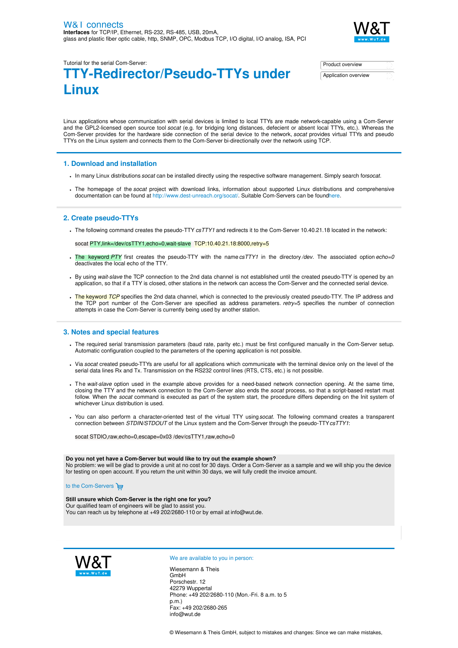

Tutorial for the serial Com-Server:

# **TTY-Redirector/Pseudo-TTYs under Linux**

| Product overview     |  |
|----------------------|--|
| Application overview |  |

Linux applications whose communication with serial devices is limited to local TTYs are made network-capable using a Com-Server and the GPL2-licensed open source tool *socat* (e.g. for bridging long distances, defecient or absent local TTYs, etc.). Whereas the Com-Server provides for the hardware side connection of the serial device to the network, *socat* provides virtual TTYs and pseudo TTYs on the Linux system and connects them to the Com-Server bi-directionally over the network using TCP.

## **1. Download and installation**

- In many Linux distributions*socat* can be installed directly using the respective software management. Simply search for*socat*.
- The homepage of the *socat* project with download links, information about supported Linux distributions and comprehensive documentation can be found at <http://www.dest-unreach.org/socat/>. Suitable Com-Servers can be foun[dhere](https://www.wut.de/e-58www-10-inus-000.php).

# **2. Create pseudo-TTYs**

The following command creates the pseudo-TTY *csTTY1* and redirects it to the Com-Server 10.40.21.18 located in the network:

socat PTY, link=/dev/csTTY1, echo=0, wait-slave TCP:10.40.21.18:8000, retry=5

- The keyword *PTY* first creates the pseudo-TTY with the name*csTTY1* in the directory*/dev*. The associated option *echo=0* deactivates the local echo of the TTY.
- By using *wait-slave* the TCP connection to the 2nd data channel is not established until the created pseudo-TTY is opened by an application, so that if a TTY is closed, other stations in the network can access the Com-Server and the connected serial device.
- . The keyword *TCP* specifies the 2nd data channel, which is connected to the previously created pseudo-TTY. The IP address and the TCP port number of the Com-Server are specified as address parameters. *retry=*5 specifies the number of connection attempts in case the Com-Server is currently being used by another station.

## **3. Notes and special features**

- The required serial transmission parameters (baud rate, parity etc.) must be first configured manually in the Com-Server setup. Automatic configuration coupled to the parameters of the opening application is not possible.
- Via *socat* created pseudo-TTYs are useful for all applications which communicate with the terminal device only on the level of the serial data lines Rx and Tx. Transmission on the RS232 control lines (RTS, CTS, etc.) is not possible.
- The *wait-slave* option used in the example above provides for a need-based network connection opening. At the same time, closing the TTY and the network connection to the Com-Server also ends the *socat* process, so that a script-based restart must follow. When the *socat* command is executed as part of the system start, the procedure differs depending on the Init system of whichever Linux distribution is used.
- You can also perform a character-oriented test of the virtual TTY using*socat*. The following command creates a transparent connection between *STDIN/STDOUT* of the Linux system and the Com-Server through the pseudo-TTY*csTTY1*:

socat STDIO,raw,echo=0,escape=0x03 /dev/csTTY1,raw,echo=0

#### **Do you not yet have a Com-Server but would like to try out the example shown?**

No problem: we will be glad to provide a unit at no cost for 30 days. Order a Com-Server as a sample and we will ship you the device for testing on open account. If you return the unit within 30 days, we will fully credit the invoice amount.

to the [Com-Servers](https://www.wut.de/e-58www-10-inus-000.php)

#### **Still unsure which Com-Server is the right one for you?** Our qualified team of engineers will be glad to assist you.

You can reach us by telephone at +49 [202/2680-110](tel:%20+492022680110) or by email at [info@wut.de](mailto:info@wut.de).



#### We are available to you in person:

Wiesemann & Theis GmbH Porschestr. 12 42279 Wuppertal Phone: +49 [202/2680-110](tel:+492022680110) (Mon.-Fri. 8 a.m. to 5 p.m.) Fax: +49 202/2680-265 [info@wut.de](mailto:info@wut.de)

© Wiesemann & Theis GmbH, subject to mistakes and changes: Since we can make mistakes,